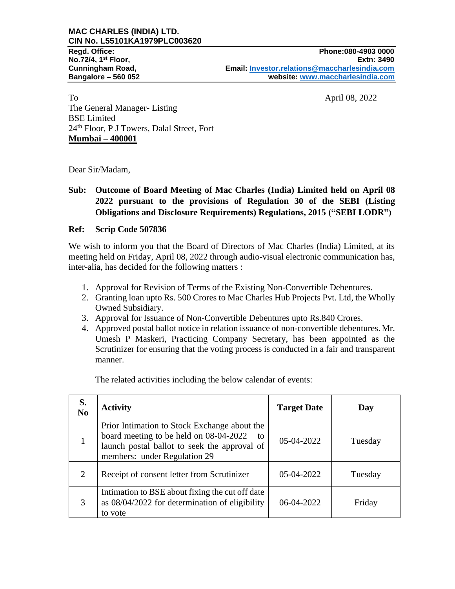To April 08, 2022 The General Manager- Listing BSE Limited 24th Floor, P J Towers, Dalal Street, Fort **Mumbai – 400001**

Dear Sir/Madam,

## **Sub: Outcome of Board Meeting of Mac Charles (India) Limited held on April 08 2022 pursuant to the provisions of Regulation 30 of the SEBI (Listing Obligations and Disclosure Requirements) Regulations, 2015 ("SEBI LODR")**

## **Ref: Scrip Code 507836**

We wish to inform you that the Board of Directors of Mac Charles (India) Limited, at its meeting held on Friday, April 08, 2022 through audio-visual electronic communication has, inter-alia, has decided for the following matters :

- 1. Approval for Revision of Terms of the Existing Non-Convertible Debentures.
- 2. Granting loan upto Rs. 500 Crores to Mac Charles Hub Projects Pvt. Ltd, the Wholly Owned Subsidiary.
- 3. Approval for Issuance of Non-Convertible Debentures upto Rs.840 Crores.
- 4. Approved postal ballot notice in relation issuance of non-convertible debentures. Mr. Umesh P Maskeri, Practicing Company Secretary, has been appointed as the Scrutinizer for ensuring that the voting process is conducted in a fair and transparent manner.

| S.<br>N <sub>0</sub> | <b>Activity</b>                                                                                                                                                              | <b>Target Date</b> | Day     |
|----------------------|------------------------------------------------------------------------------------------------------------------------------------------------------------------------------|--------------------|---------|
|                      | Prior Intimation to Stock Exchange about the<br>board meeting to be held on 08-04-2022<br>to<br>launch postal ballot to seek the approval of<br>members: under Regulation 29 | 05-04-2022         | Tuesday |
| 2                    | Receipt of consent letter from Scrutinizer                                                                                                                                   | 05-04-2022         | Tuesday |
| 3                    | Intimation to BSE about fixing the cut off date<br>as $08/04/2022$ for determination of eligibility<br>to vote                                                               | 06-04-2022         | Friday  |

The related activities including the below calendar of events: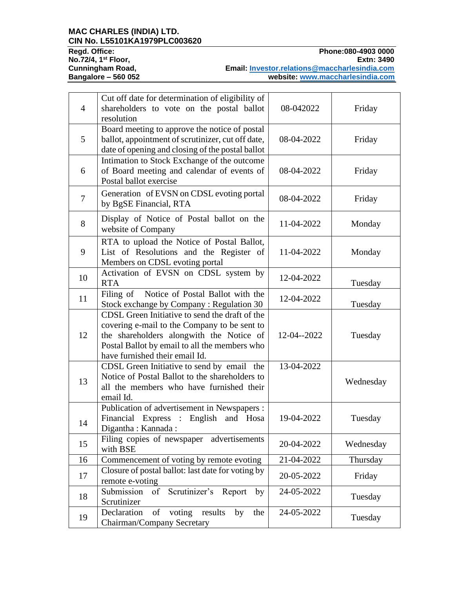## **MAC CHARLES (INDIA) LTD. CIN No. L55101KA1979PLC003620**

| $\overline{4}$ | Cut off date for determination of eligibility of<br>shareholders to vote on the postal ballot<br>resolution                                                                                                                   | 08-042022   | Friday    |
|----------------|-------------------------------------------------------------------------------------------------------------------------------------------------------------------------------------------------------------------------------|-------------|-----------|
| 5              | Board meeting to approve the notice of postal<br>ballot, appointment of scrutinizer, cut off date,<br>date of opening and closing of the postal ballot                                                                        | 08-04-2022  | Friday    |
| 6              | Intimation to Stock Exchange of the outcome<br>of Board meeting and calendar of events of<br>Postal ballot exercise                                                                                                           | 08-04-2022  | Friday    |
| $\overline{7}$ | Generation of EVSN on CDSL evoting portal<br>by BgSE Financial, RTA                                                                                                                                                           | 08-04-2022  | Friday    |
| 8              | Display of Notice of Postal ballot on the<br>website of Company                                                                                                                                                               | 11-04-2022  | Monday    |
| 9              | RTA to upload the Notice of Postal Ballot,<br>List of Resolutions and the Register of<br>Members on CDSL evoting portal                                                                                                       | 11-04-2022  | Monday    |
| 10             | Activation of EVSN on CDSL system by<br><b>RTA</b>                                                                                                                                                                            | 12-04-2022  | Tuesday   |
| 11             | Notice of Postal Ballot with the<br>Filing of<br>Stock exchange by Company: Regulation 30                                                                                                                                     | 12-04-2022  | Tuesday   |
| 12             | CDSL Green Initiative to send the draft of the<br>covering e-mail to the Company to be sent to<br>the shareholders alongwith the Notice of<br>Postal Ballot by email to all the members who<br>have furnished their email Id. | 12-04--2022 | Tuesday   |
| 13             | CDSL Green Initiative to send by email the<br>Notice of Postal Ballot to the shareholders to<br>all the members who have furnished their<br>email Id.                                                                         | 13-04-2022  | Wednesday |
| 14             | Publication of advertisement in Newspapers :<br>Financial Express : English and Hosa<br>Digantha : Kannada :                                                                                                                  | 19-04-2022  | Tuesday   |
| 15             | Filing copies of newspaper<br>advertisements<br>with BSE                                                                                                                                                                      | 20-04-2022  | Wednesday |
| 16             | Commencement of voting by remote evoting                                                                                                                                                                                      | 21-04-2022  | Thursday  |
| 17             | Closure of postal ballot: last date for voting by<br>remote e-voting                                                                                                                                                          | 20-05-2022  | Friday    |
| 18             | Scrutinizer's<br>of<br>Submission<br>Report<br>by<br>Scrutinizer                                                                                                                                                              | 24-05-2022  | Tuesday   |
| 19             | Declaration<br>οf<br>voting<br>results<br>by<br>the<br>Chairman/Company Secretary                                                                                                                                             | 24-05-2022  | Tuesday   |